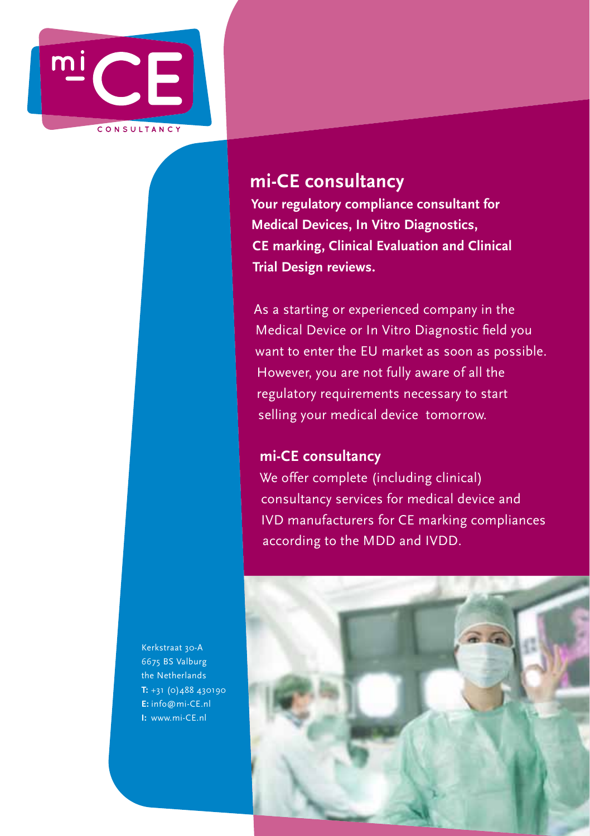

# **mi-CE consultancy**

**Your regulatory compliance consultant for Medical Devices, In Vitro Diagnostics, CE marking, Clinical Evaluation and Clinical Trial Design reviews.**

As a starting or experienced company in the Medical Device or In Vitro Diagnostic field you want to enter the EU market as soon as possible. However, you are not fully aware of all the regulatory requirements necessary to start selling your medical device tomorrow.

# **mi-CE consultancy**

We offer complete (including clinical) consultancy services for medical device and IVD manufacturers for CE marking compliances according to the MDD and IVDD.

Kerkstraat 30-A 6675 BS Valburg the Netherlands **T:** +31 (0)488 430190 **E:** info@mi-CE.nl **I:** www.mi-CE.nl